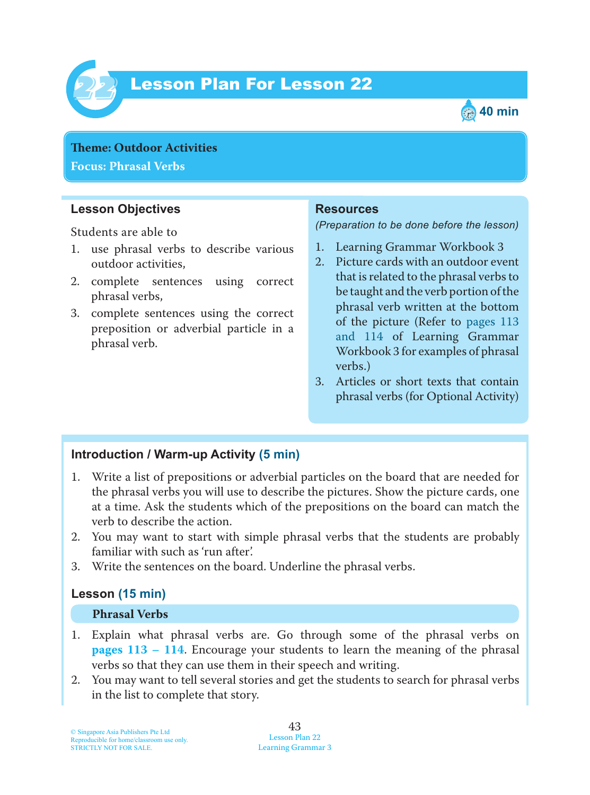

# Lesson Plan For Lesson 22 *22*



**Theme: Outdoor Activities Focus: Phrasal Verbs**

## **Lesson Objectives**

Students are able to

- 1. use phrasal verbs to describe various outdoor activities,
- 2. complete sentences using correct phrasal verbs,
- 3. complete sentences using the correct preposition or adverbial particle in a phrasal verb.

### **Resources**

*(Preparation to be done before the lesson)*

- 1. Learning Grammar Workbook 3
- 2. Picture cards with an outdoor event that is related to the phrasal verbs to be taught and the verb portion of the phrasal verb written at the bottom of the picture (Refer to pages 113 and 114 of Learning Grammar Workbook 3 for examples of phrasal verbs.)
- 3. Articles or short texts that contain phrasal verbs (for Optional Activity)

## **Introduction / Warm-up Activity (5 min)**

- 1. Write a list of prepositions or adverbial particles on the board that are needed for the phrasal verbs you will use to describe the pictures. Show the picture cards, one at a time. Ask the students which of the prepositions on the board can match the verb to describe the action.
- 2. You may want to start with simple phrasal verbs that the students are probably familiar with such as 'run after'.
- 3. Write the sentences on the board. Underline the phrasal verbs.

## **Lesson (15 min)**

#### **Phrasal Verbs**

- 1. Explain what phrasal verbs are. Go through some of the phrasal verbs on **pages 113 – 114** . Encourage your students to learn the meaning of the phrasal verbs so that they can use them in their speech and writing.
- 2. You may want to tell several stories and get the students to search for phrasal verbs in the list to complete that story.